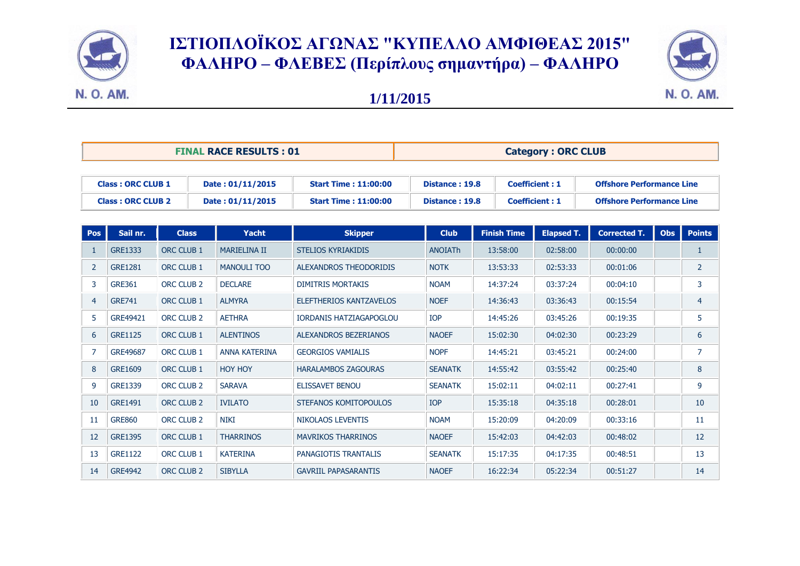

## ΙΣΤΙΟΠΛΟΪΚΟΣ ΑΓΩΝΑΣ "ΚΥΠΕΛΛΟ ΑΜΦΙΘΕΑΣ 2015" **ΦΑΛΗΡΟ – ΦΛΕΒΕ (Περίπλοσς σημαντήρα) – ΦΑΛΗΡΟ**



## **1/11/2015**

| <b>FINAL RACE RESULTS: 01</b>                        |                |                       |                                      | <b>Category: ORC CLUB</b>                                  |                                  |                    |                                                |                                                                      |            |                |
|------------------------------------------------------|----------------|-----------------------|--------------------------------------|------------------------------------------------------------|----------------------------------|--------------------|------------------------------------------------|----------------------------------------------------------------------|------------|----------------|
| <b>Class: ORC CLUB 1</b><br><b>Class: ORC CLUB 2</b> |                |                       | Date: 01/11/2015<br>Date: 01/11/2015 | <b>Start Time: 11:00:00</b><br><b>Start Time: 11:00:00</b> | Distance: 19.8<br>Distance: 19.8 |                    | <b>Coefficient: 1</b><br><b>Coefficient: 1</b> | <b>Offshore Performance Line</b><br><b>Offshore Performance Line</b> |            |                |
| Pos                                                  | Sail nr.       | <b>Class</b>          | <b>Yacht</b>                         | <b>Skipper</b>                                             | <b>Club</b>                      | <b>Finish Time</b> | <b>Elapsed T.</b>                              | <b>Corrected T.</b>                                                  | <b>Obs</b> | <b>Points</b>  |
| -1                                                   | GRE1333        | <b>ORC CLUB 1</b>     | <b>MARIELINA II</b>                  | <b>STELIOS KYRIAKIDIS</b>                                  | <b>ANOIATh</b>                   | 13:58:00           | 02:58:00                                       | 00:00:00                                                             |            | 1              |
| 2                                                    | <b>GRE1281</b> | ORC CLUB 1            | <b>MANOULI TOO</b>                   | ALEXANDROS THEODORIDIS                                     | <b>NOTK</b>                      | 13:53:33           | 02:53:33                                       | 00:01:06                                                             |            | $\overline{2}$ |
| 3                                                    | <b>GRE361</b>  | ORC CLUB <sub>2</sub> | <b>DECLARE</b>                       | <b>DIMITRIS MORTAKIS</b>                                   | <b>NOAM</b>                      | 14:37:24           | 03:37:24                                       | 00:04:10                                                             |            | 3              |
| $\overline{4}$                                       | <b>GRE741</b>  | ORC CLUB 1            | <b>ALMYRA</b>                        | <b>ELEFTHERIOS KANTZAVELOS</b>                             | <b>NOEF</b>                      | 14:36:43           | 03:36:43                                       | 00:15:54                                                             |            | 4              |
| 5                                                    | GRE49421       | ORC CLUB <sub>2</sub> | <b>AETHRA</b>                        | <b>IORDANIS HATZIAGAPOGLOU</b>                             | <b>IOP</b>                       | 14:45:26           | 03:45:26                                       | 00:19:35                                                             |            | 5              |
| 6                                                    | <b>GRE1125</b> | ORC CLUB 1            | <b>ALENTINOS</b>                     | <b>ALEXANDROS BEZERIANOS</b>                               | <b>NAOEF</b>                     | 15:02:30           | 04:02:30                                       | 00:23:29                                                             |            | 6              |
| $\overline{7}$                                       | GRE49687       | ORC CLUB 1            | <b>ANNA KATERINA</b>                 | <b>GEORGIOS VAMIALIS</b>                                   | <b>NOPF</b>                      | 14:45:21           | 03:45:21                                       | 00:24:00                                                             |            | $\overline{7}$ |
| 8                                                    | GRE1609        | ORC CLUB 1            | <b>HOY HOY</b>                       | <b>HARALAMBOS ZAGOURAS</b>                                 | <b>SEANATK</b>                   | 14:55:42           | 03:55:42                                       | 00:25:40                                                             |            | 8              |
| 9                                                    | <b>GRE1339</b> | ORC CLUB <sub>2</sub> | <b>SARAVA</b>                        | <b>ELISSAVET BENOU</b>                                     | <b>SEANATK</b>                   | 15:02:11           | 04:02:11                                       | 00:27:41                                                             |            | 9              |
| 10                                                   | GRE1491        | ORC CLUB <sub>2</sub> | <b>IVILATO</b>                       | STEFANOS KOMITOPOULOS                                      | <b>IOP</b>                       | 15:35:18           | 04:35:18                                       | 00:28:01                                                             |            | 10             |
| 11                                                   | <b>GRE860</b>  | ORC CLUB <sub>2</sub> | <b>NIKI</b>                          | <b>NIKOLAOS LEVENTIS</b>                                   | <b>NOAM</b>                      | 15:20:09           | 04:20:09                                       | 00:33:16                                                             |            | 11             |
| 12                                                   | <b>GRE1395</b> | ORC CLUB 1            | <b>THARRINOS</b>                     | <b>MAVRIKOS THARRINOS</b>                                  | <b>NAOEF</b>                     | 15:42:03           | 04:42:03                                       | 00:48:02                                                             |            | 12             |
| -13                                                  | <b>GRE1122</b> | ORC CLUB 1            | <b>KATERINA</b>                      | PANAGIOTIS TRANTALIS                                       | <b>SEANATK</b>                   | 15:17:35           | 04:17:35                                       | 00:48:51                                                             |            | 13             |
| 14                                                   | <b>GRE4942</b> | ORC CLUB <sub>2</sub> | <b>SIBYLLA</b>                       | <b>GAVRIIL PAPASARANTIS</b>                                | <b>NAOEF</b>                     | 16:22:34           | 05:22:34                                       | 00:51:27                                                             |            | 14             |